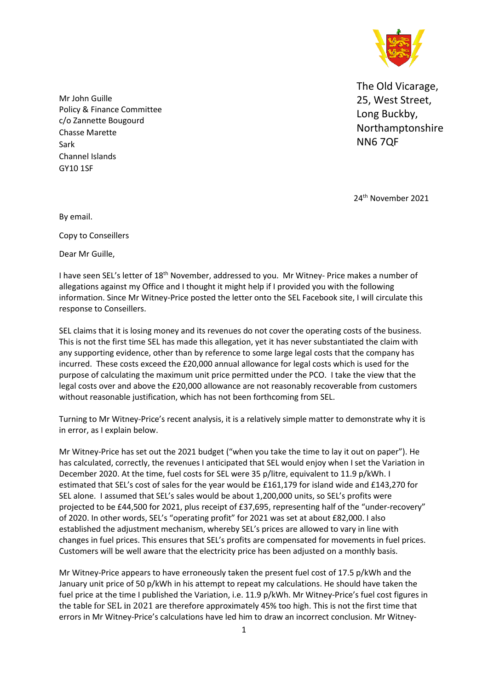

The Old Vicarage, 25, West Street, Long Buckby, Northamptonshire NN6 7QF

Mr John Guille Policy & Finance Committee c/o Zannette Bougourd Chasse Marette Sark Channel Islands GY10 1SF

24 th November 2021

By email.

Copy to Conseillers

Dear Mr Guille,

I have seen SEL's letter of 18<sup>th</sup> November, addressed to you. Mr Witney- Price makes a number of allegations against my Office and I thought it might help if I provided you with the following information. Since Mr Witney-Price posted the letter onto the SEL Facebook site, I will circulate this response to Conseillers.

SEL claims that it is losing money and its revenues do not cover the operating costs of the business. This is not the first time SEL has made this allegation, yet it has never substantiated the claim with any supporting evidence, other than by reference to some large legal costs that the company has incurred. These costs exceed the £20,000 annual allowance for legal costs which is used for the purpose of calculating the maximum unit price permitted under the PCO. I take the view that the legal costs over and above the £20,000 allowance are not reasonably recoverable from customers without reasonable justification, which has not been forthcoming from SEL.

Turning to Mr Witney-Price's recent analysis, it is a relatively simple matter to demonstrate why it is in error, as I explain below.

Mr Witney-Price has set out the 2021 budget ("when you take the time to lay it out on paper"). He has calculated, correctly, the revenues I anticipated that SEL would enjoy when I set the Variation in December 2020. At the time, fuel costs for SEL were 35 p/litre, equivalent to 11.9 p/kWh. I estimated that SEL's cost of sales for the year would be £161,179 for island wide and £143,270 for SEL alone. I assumed that SEL's sales would be about 1,200,000 units, so SEL's profits were projected to be £44,500 for 2021, plus receipt of £37,695, representing half of the "under-recovery" of 2020. In other words, SEL's "operating profit" for 2021 was set at about £82,000. I also established the adjustment mechanism, whereby SEL's prices are allowed to vary in line with changes in fuel prices. This ensures that SEL's profits are compensated for movements in fuel prices. Customers will be well aware that the electricity price has been adjusted on a monthly basis.

Mr Witney-Price appears to have erroneously taken the present fuel cost of 17.5 p/kWh and the January unit price of 50 p/kWh in his attempt to repeat my calculations. He should have taken the fuel price at the time I published the Variation, i.e. 11.9 p/kWh. Mr Witney-Price's fuel cost figures in the table for SEL in 2021 are therefore approximately 45% too high. This is not the first time that errors in Mr Witney-Price's calculations have led him to draw an incorrect conclusion. Mr Witney-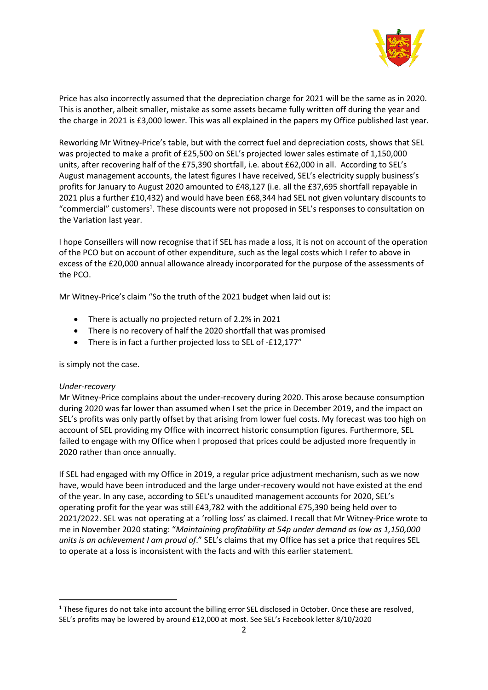

Price has also incorrectly assumed that the depreciation charge for 2021 will be the same as in 2020. This is another, albeit smaller, mistake as some assets became fully written off during the year and the charge in 2021 is £3,000 lower. This was all explained in the papers my Office published last year.

Reworking Mr Witney-Price's table, but with the correct fuel and depreciation costs, shows that SEL was projected to make a profit of £25,500 on SEL's projected lower sales estimate of 1,150,000 units, after recovering half of the £75,390 shortfall, i.e. about £62,000 in all. According to SEL's August management accounts, the latest figures I have received, SEL's electricity supply business's profits for January to August 2020 amounted to £48,127 (i.e. all the £37,695 shortfall repayable in 2021 plus a further £10,432) and would have been £68,344 had SEL not given voluntary discounts to "commercial" customers<sup>1</sup>. These discounts were not proposed in SEL's responses to consultation on the Variation last year.

I hope Conseillers will now recognise that if SEL has made a loss, it is not on account of the operation of the PCO but on account of other expenditure, such as the legal costs which I refer to above in excess of the £20,000 annual allowance already incorporated for the purpose of the assessments of the PCO.

Mr Witney-Price's claim "So the truth of the 2021 budget when laid out is:

- There is actually no projected return of 2.2% in 2021
- There is no recovery of half the 2020 shortfall that was promised
- There is in fact a further projected loss to SEL of -£12,177"

is simply not the case.

## *Under-recovery*

Mr Witney-Price complains about the under-recovery during 2020. This arose because consumption during 2020 was far lower than assumed when I set the price in December 2019, and the impact on SEL's profits was only partly offset by that arising from lower fuel costs. My forecast was too high on account of SEL providing my Office with incorrect historic consumption figures. Furthermore, SEL failed to engage with my Office when I proposed that prices could be adjusted more frequently in 2020 rather than once annually.

If SEL had engaged with my Office in 2019, a regular price adjustment mechanism, such as we now have, would have been introduced and the large under-recovery would not have existed at the end of the year. In any case, according to SEL's unaudited management accounts for 2020, SEL's operating profit for the year was still £43,782 with the additional £75,390 being held over to 2021/2022. SEL was not operating at a 'rolling loss' as claimed. I recall that Mr Witney-Price wrote to me in November 2020 stating: "*Maintaining profitability at 54p under demand as low as 1,150,000 units is an achievement I am proud of*." SEL's claims that my Office has set a price that requires SEL to operate at a loss is inconsistent with the facts and with this earlier statement.

<sup>&</sup>lt;sup>1</sup> These figures do not take into account the billing error SEL disclosed in October. Once these are resolved, SEL's profits may be lowered by around £12,000 at most. See SEL's Facebook letter 8/10/2020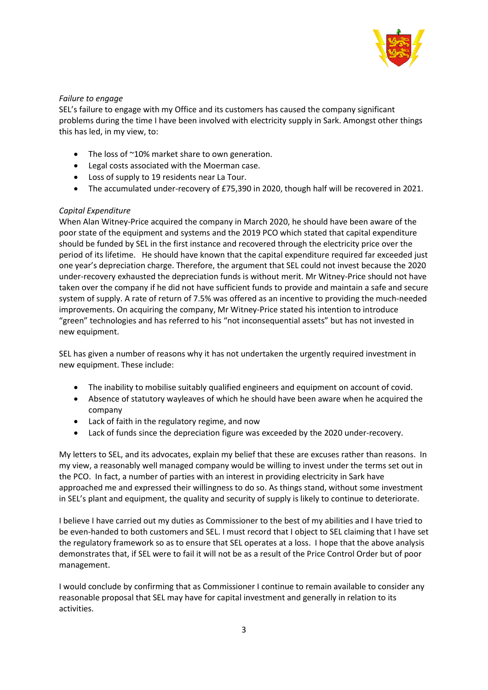

## *Failure to engage*

SEL's failure to engage with my Office and its customers has caused the company significant problems during the time I have been involved with electricity supply in Sark. Amongst other things this has led, in my view, to:

- The loss of ~10% market share to own generation.
- Legal costs associated with the Moerman case.
- Loss of supply to 19 residents near La Tour.
- The accumulated under-recovery of £75,390 in 2020, though half will be recovered in 2021.

## *Capital Expenditure*

When Alan Witney-Price acquired the company in March 2020, he should have been aware of the poor state of the equipment and systems and the 2019 PCO which stated that capital expenditure should be funded by SEL in the first instance and recovered through the electricity price over the period of its lifetime. He should have known that the capital expenditure required far exceeded just one year's depreciation charge. Therefore, the argument that SEL could not invest because the 2020 under-recovery exhausted the depreciation funds is without merit. Mr Witney-Price should not have taken over the company if he did not have sufficient funds to provide and maintain a safe and secure system of supply. A rate of return of 7.5% was offered as an incentive to providing the much-needed improvements. On acquiring the company, Mr Witney-Price stated his intention to introduce "green" technologies and has referred to his "not inconsequential assets" but has not invested in new equipment.

SEL has given a number of reasons why it has not undertaken the urgently required investment in new equipment. These include:

- The inability to mobilise suitably qualified engineers and equipment on account of covid.
- Absence of statutory wayleaves of which he should have been aware when he acquired the company
- Lack of faith in the regulatory regime, and now
- Lack of funds since the depreciation figure was exceeded by the 2020 under-recovery.

My letters to SEL, and its advocates, explain my belief that these are excuses rather than reasons. In my view, a reasonably well managed company would be willing to invest under the terms set out in the PCO. In fact, a number of parties with an interest in providing electricity in Sark have approached me and expressed their willingness to do so. As things stand, without some investment in SEL's plant and equipment, the quality and security of supply is likely to continue to deteriorate.

I believe I have carried out my duties as Commissioner to the best of my abilities and I have tried to be even-handed to both customers and SEL. I must record that I object to SEL claiming that I have set the regulatory framework so as to ensure that SEL operates at a loss. I hope that the above analysis demonstrates that, if SEL were to fail it will not be as a result of the Price Control Order but of poor management.

I would conclude by confirming that as Commissioner I continue to remain available to consider any reasonable proposal that SEL may have for capital investment and generally in relation to its activities.